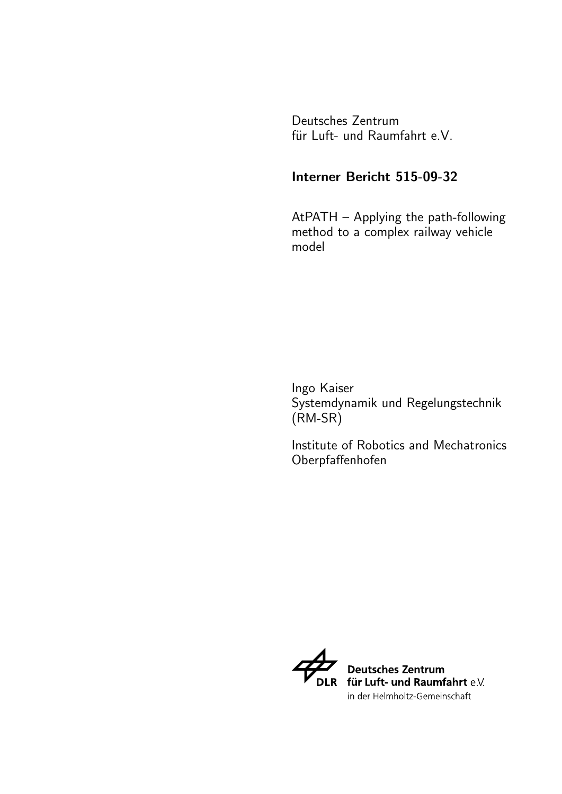Deutsches Zentrum für Luft- und Raumfahrt e.V.

#### Interner Bericht 515-09-32

AtPATH – Applying the path-following method to a complex railway vehicle model

Ingo Kaiser Systemdynamik und Regelungstechnik (RM-SR)

Institute of Robotics and Mechatronics Oberpfaffenhofen

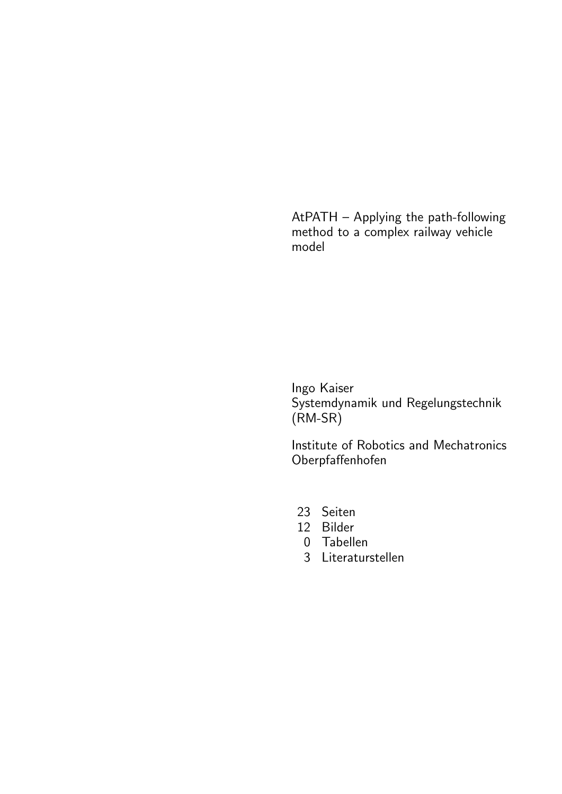AtPATH – Applying the path-following method to a complex railway vehicle model

Ingo Kaiser Systemdynamik und Regelungstechnik (RM-SR)

Institute of Robotics and Mechatronics Oberpfaffenhofen

- 23 Seiten
- 12 Bilder
- 0 Tabellen
- 3 Literaturstellen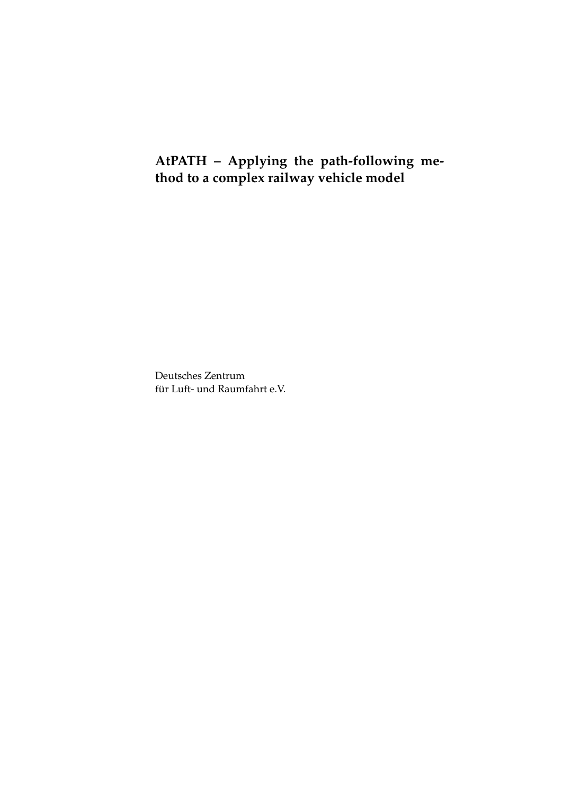### **AtPATH – Applying the path-following method to a complex railway vehicle model**

Deutsches Zentrum für Luft- und Raumfahrt e.V.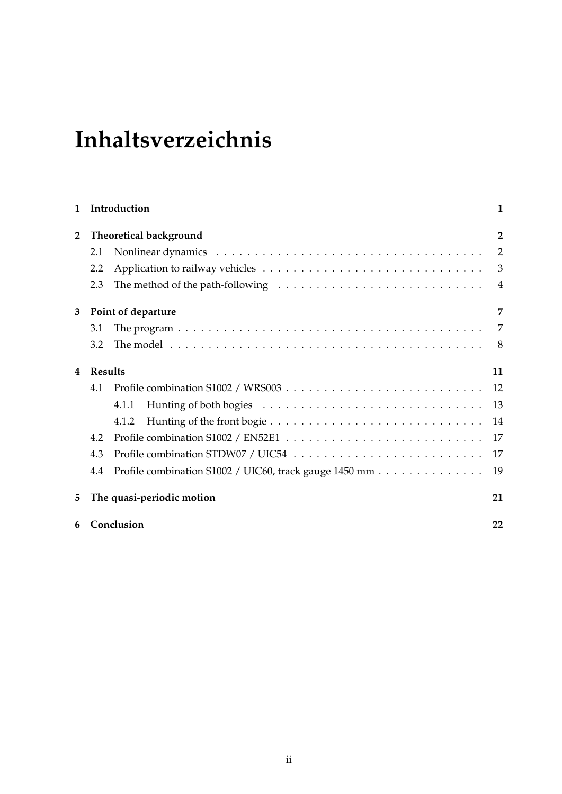# **Inhaltsverzeichnis**

| 1            |                | Introduction                                                                                         | 1              |
|--------------|----------------|------------------------------------------------------------------------------------------------------|----------------|
| $\mathbf{2}$ |                | Theoretical background                                                                               | $\overline{2}$ |
|              | 2.1            |                                                                                                      | 2              |
|              | 2.2            |                                                                                                      | 3              |
|              | 2.3            | The method of the path-following $\dots \dots \dots \dots \dots \dots \dots \dots \dots \dots \dots$ |                |
| 3            |                | Point of departure                                                                                   | 7              |
|              | 3.1            |                                                                                                      | 7              |
|              | 3.2            |                                                                                                      | 8              |
| 4            | <b>Results</b> |                                                                                                      | 11             |
|              | 4.1            |                                                                                                      | 12             |
|              |                | 4.1.1                                                                                                | 13             |
|              |                | 4.1.2                                                                                                | 14             |
|              | 4.2            |                                                                                                      | 17             |
|              | 4.3            |                                                                                                      | 17             |
|              | 4.4            | Profile combination S1002 / UIC60, track gauge 1450 mm                                               | 19             |
| 5            |                | The quasi-periodic motion                                                                            | 21             |
| 6            | Conclusion     |                                                                                                      |                |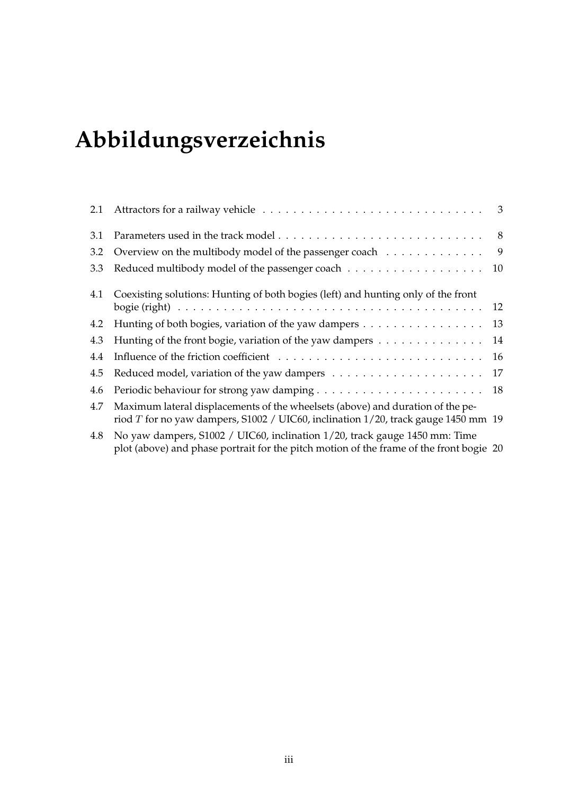# **Abbildungsverzeichnis**

| 3.1 |                                                                                                                                                                        |                |
|-----|------------------------------------------------------------------------------------------------------------------------------------------------------------------------|----------------|
| 3.2 | Overview on the multibody model of the passenger coach                                                                                                                 | $\overline{9}$ |
| 3.3 | Reduced multibody model of the passenger coach 10                                                                                                                      |                |
| 4.1 | Coexisting solutions: Hunting of both bogies (left) and hunting only of the front                                                                                      | 12             |
| 4.2 | Hunting of both bogies, variation of the yaw dampers                                                                                                                   | 13             |
| 4.3 | Hunting of the front bogie, variation of the yaw dampers                                                                                                               | 14             |
| 4.4 |                                                                                                                                                                        | 16             |
| 4.5 |                                                                                                                                                                        |                |
| 4.6 |                                                                                                                                                                        |                |
| 4.7 | Maximum lateral displacements of the wheelsets (above) and duration of the pe-<br>riod $T$ for no yaw dampers, S1002 / UIC60, inclination 1/20, track gauge 1450 mm 19 |                |
| 4.8 | No yaw dampers, S1002 / UIC60, inclination 1/20, track gauge 1450 mm: Time<br>plot (above) and phase portrait for the pitch motion of the frame of the front bogie 20  |                |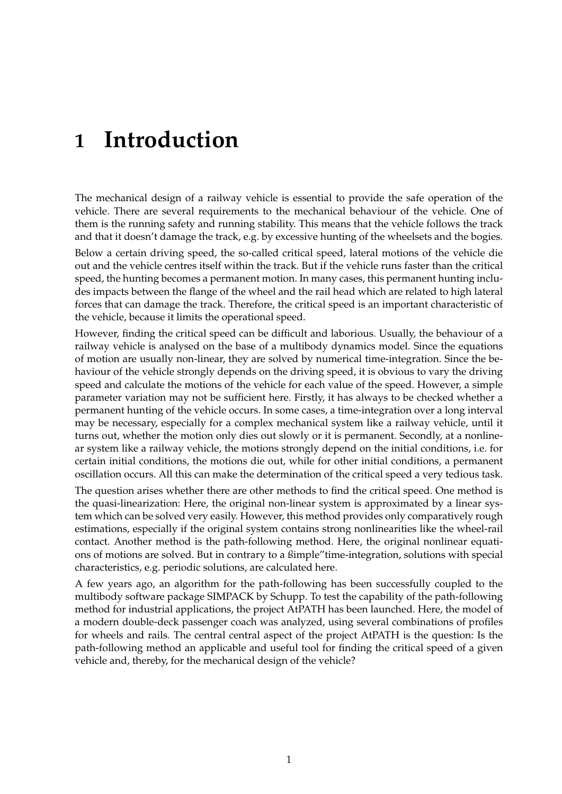# **1 Introduction**

The mechanical design of a railway vehicle is essential to provide the safe operation of the vehicle. There are several requirements to the mechanical behaviour of the vehicle. One of them is the running safety and running stability. This means that the vehicle follows the track and that it doesn't damage the track, e.g. by excessive hunting of the wheelsets and the bogies.

Below a certain driving speed, the so-called critical speed, lateral motions of the vehicle die out and the vehicle centres itself within the track. But if the vehicle runs faster than the critical speed, the hunting becomes a permanent motion. In many cases, this permanent hunting includes impacts between the flange of the wheel and the rail head which are related to high lateral forces that can damage the track. Therefore, the critical speed is an important characteristic of the vehicle, because it limits the operational speed.

However, finding the critical speed can be difficult and laborious. Usually, the behaviour of a railway vehicle is analysed on the base of a multibody dynamics model. Since the equations of motion are usually non-linear, they are solved by numerical time-integration. Since the behaviour of the vehicle strongly depends on the driving speed, it is obvious to vary the driving speed and calculate the motions of the vehicle for each value of the speed. However, a simple parameter variation may not be sufficient here. Firstly, it has always to be checked whether a permanent hunting of the vehicle occurs. In some cases, a time-integration over a long interval may be necessary, especially for a complex mechanical system like a railway vehicle, until it turns out, whether the motion only dies out slowly or it is permanent. Secondly, at a nonlinear system like a railway vehicle, the motions strongly depend on the initial conditions, i.e. for certain initial conditions, the motions die out, while for other initial conditions, a permanent oscillation occurs. All this can make the determination of the critical speed a very tedious task.

The question arises whether there are other methods to find the critical speed. One method is the quasi-linearization: Here, the original non-linear system is approximated by a linear system which can be solved very easily. However, this method provides only comparatively rough estimations, especially if the original system contains strong nonlinearities like the wheel-rail contact. Another method is the path-following method. Here, the original nonlinear equations of motions are solved. But in contrary to a ßimple"time-integration, solutions with special characteristics, e.g. periodic solutions, are calculated here.

A few years ago, an algorithm for the path-following has been successfully coupled to the multibody software package SIMPACK by Schupp. To test the capability of the path-following method for industrial applications, the project AtPATH has been launched. Here, the model of a modern double-deck passenger coach was analyzed, using several combinations of profiles for wheels and rails. The central central aspect of the project AtPATH is the question: Is the path-following method an applicable and useful tool for finding the critical speed of a given vehicle and, thereby, for the mechanical design of the vehicle?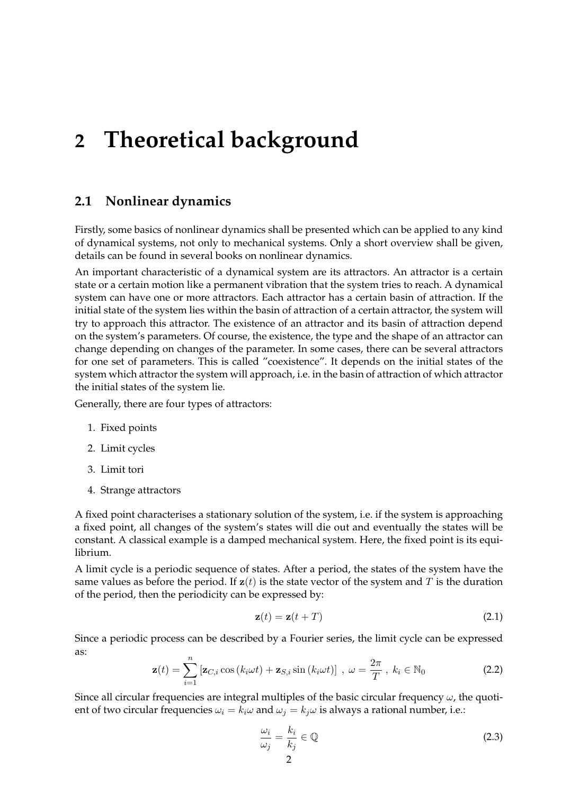### **2 Theoretical background**

#### **2.1 Nonlinear dynamics**

Firstly, some basics of nonlinear dynamics shall be presented which can be applied to any kind of dynamical systems, not only to mechanical systems. Only a short overview shall be given, details can be found in several books on nonlinear dynamics.

An important characteristic of a dynamical system are its attractors. An attractor is a certain state or a certain motion like a permanent vibration that the system tries to reach. A dynamical system can have one or more attractors. Each attractor has a certain basin of attraction. If the initial state of the system lies within the basin of attraction of a certain attractor, the system will try to approach this attractor. The existence of an attractor and its basin of attraction depend on the system's parameters. Of course, the existence, the type and the shape of an attractor can change depending on changes of the parameter. In some cases, there can be several attractors for one set of parameters. This is called "coexistence". It depends on the initial states of the system which attractor the system will approach, i.e. in the basin of attraction of which attractor the initial states of the system lie.

Generally, there are four types of attractors:

- 1. Fixed points
- 2. Limit cycles
- 3. Limit tori
- 4. Strange attractors

A fixed point characterises a stationary solution of the system, i.e. if the system is approaching a fixed point, all changes of the system's states will die out and eventually the states will be constant. A classical example is a damped mechanical system. Here, the fixed point is its equilibrium.

A limit cycle is a periodic sequence of states. After a period, the states of the system have the same values as before the period. If  $z(t)$  is the state vector of the system and T is the duration of the period, then the periodicity can be expressed by:

$$
\mathbf{z}(t) = \mathbf{z}(t+T) \tag{2.1}
$$

Since a periodic process can be described by a Fourier series, the limit cycle can be expressed as:

$$
\mathbf{z}(t) = \sum_{i=1}^{n} \left[ \mathbf{z}_{C,i} \cos\left(k_i \omega t\right) + \mathbf{z}_{S,i} \sin\left(k_i \omega t\right) \right], \ \omega = \frac{2\pi}{T}, \ k_i \in \mathbb{N}_0 \tag{2.2}
$$

Since all circular frequencies are integral multiples of the basic circular frequency  $\omega$ , the quotient of two circular frequencies  $\omega_i = k_i \omega$  and  $\omega_i = k_j \omega$  is always a rational number, i.e.:

$$
\frac{\omega_i}{\omega_j} = \frac{k_i}{k_j} \in \mathbb{Q}
$$
\n
$$
\frac{2}{}
$$
\n(2.3)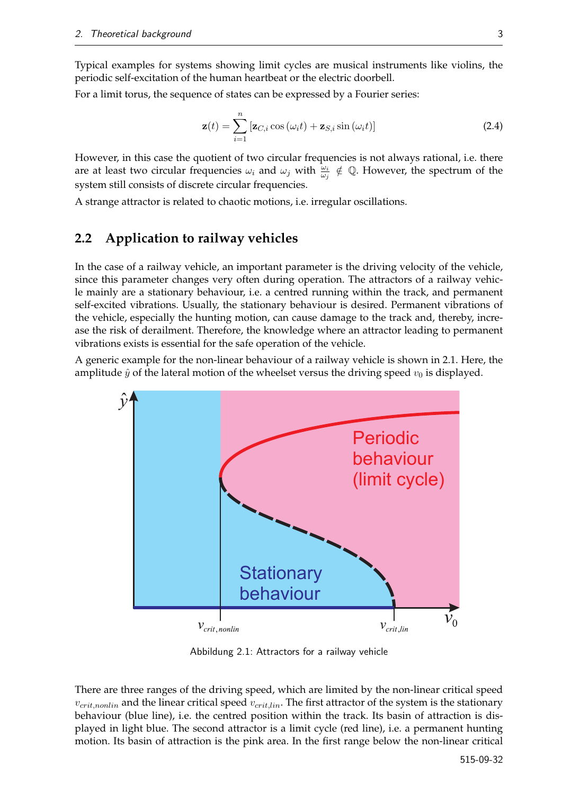Typical examples for systems showing limit cycles are musical instruments like violins, the periodic self-excitation of the human heartbeat or the electric doorbell.

For a limit torus, the sequence of states can be expressed by a Fourier series:

$$
\mathbf{z}(t) = \sum_{i=1}^{n} \left[ \mathbf{z}_{C,i} \cos \left( \omega_i t \right) + \mathbf{z}_{S,i} \sin \left( \omega_i t \right) \right]
$$
 (2.4)

However, in this case the quotient of two circular frequencies is not always rational, i.e. there are at least two circular frequencies  $\omega_i$  and  $\omega_j$  with  $\frac{\omega_i}{\omega_j} \notin \mathbb{Q}$ . However, the spectrum of the system still consists of discrete circular frequencies.

A strange attractor is related to chaotic motions, i.e. irregular oscillations.

#### **2.2 Application to railway vehicles**

In the case of a railway vehicle, an important parameter is the driving velocity of the vehicle, since this parameter changes very often during operation. The attractors of a railway vehicle mainly are a stationary behaviour, i.e. a centred running within the track, and permanent self-excited vibrations. Usually, the stationary behaviour is desired. Permanent vibrations of the vehicle, especially the hunting motion, can cause damage to the track and, thereby, increase the risk of derailment. Therefore, the knowledge where an attractor leading to permanent vibrations exists is essential for the safe operation of the vehicle.

A generic example for the non-linear behaviour of a railway vehicle is shown in 2.1. Here, the amplitude  $\hat{y}$  of the lateral motion of the wheelset versus the driving speed  $v_0$  is displayed.



Abbildung 2.1: Attractors for a railway vehicle

There are three ranges of the driving speed, which are limited by the non-linear critical speed  $v_{crit,nonlin}$  and the linear critical speed  $v_{crit,lin}$ . The first attractor of the system is the stationary behaviour (blue line), i.e. the centred position within the track. Its basin of attraction is displayed in light blue. The second attractor is a limit cycle (red line), i.e. a permanent hunting motion. Its basin of attraction is the pink area. In the first range below the non-linear critical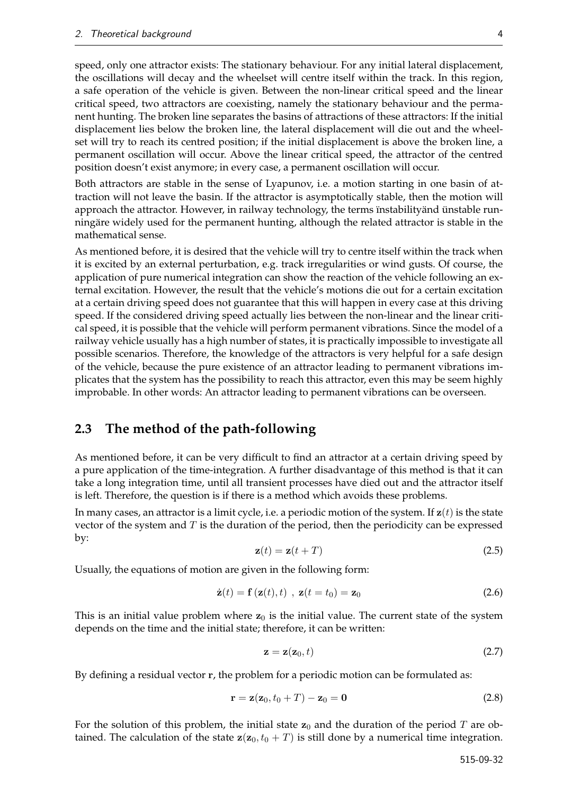speed, only one attractor exists: The stationary behaviour. For any initial lateral displacement, the oscillations will decay and the wheelset will centre itself within the track. In this region, a safe operation of the vehicle is given. Between the non-linear critical speed and the linear critical speed, two attractors are coexisting, namely the stationary behaviour and the permanent hunting. The broken line separates the basins of attractions of these attractors: If the initial displacement lies below the broken line, the lateral displacement will die out and the wheelset will try to reach its centred position; if the initial displacement is above the broken line, a permanent oscillation will occur. Above the linear critical speed, the attractor of the centred position doesn't exist anymore; in every case, a permanent oscillation will occur.

Both attractors are stable in the sense of Lyapunov, i.e. a motion starting in one basin of attraction will not leave the basin. If the attractor is asymptotically stable, then the motion will approach the attractor. However, in railway technology, the terms instabilityand ünstable runningäre widely used for the permanent hunting, although the related attractor is stable in the mathematical sense.

As mentioned before, it is desired that the vehicle will try to centre itself within the track when it is excited by an external perturbation, e.g. track irregularities or wind gusts. Of course, the application of pure numerical integration can show the reaction of the vehicle following an external excitation. However, the result that the vehicle's motions die out for a certain excitation at a certain driving speed does not guarantee that this will happen in every case at this driving speed. If the considered driving speed actually lies between the non-linear and the linear critical speed, it is possible that the vehicle will perform permanent vibrations. Since the model of a railway vehicle usually has a high number of states, it is practically impossible to investigate all possible scenarios. Therefore, the knowledge of the attractors is very helpful for a safe design of the vehicle, because the pure existence of an attractor leading to permanent vibrations implicates that the system has the possibility to reach this attractor, even this may be seem highly improbable. In other words: An attractor leading to permanent vibrations can be overseen.

#### **2.3 The method of the path-following**

As mentioned before, it can be very difficult to find an attractor at a certain driving speed by a pure application of the time-integration. A further disadvantage of this method is that it can take a long integration time, until all transient processes have died out and the attractor itself is left. Therefore, the question is if there is a method which avoids these problems.

In many cases, an attractor is a limit cycle, i.e. a periodic motion of the system. If  $z(t)$  is the state vector of the system and  $T$  is the duration of the period, then the periodicity can be expressed by:

$$
\mathbf{z}(t) = \mathbf{z}(t+T) \tag{2.5}
$$

Usually, the equations of motion are given in the following form:

$$
\dot{\mathbf{z}}(t) = \mathbf{f}\left(\mathbf{z}(t), t\right) , \ \mathbf{z}(t = t_0) = \mathbf{z}_0 \tag{2.6}
$$

This is an initial value problem where  $z_0$  is the initial value. The current state of the system depends on the time and the initial state; therefore, it can be written:

$$
\mathbf{z} = \mathbf{z}(\mathbf{z}_0, t) \tag{2.7}
$$

By defining a residual vector r, the problem for a periodic motion can be formulated as:

$$
\mathbf{r} = \mathbf{z}(\mathbf{z}_0, t_0 + T) - \mathbf{z}_0 = \mathbf{0} \tag{2.8}
$$

For the solution of this problem, the initial state  $z_0$  and the duration of the period T are obtained. The calculation of the state  $z(z_0, t_0 + T)$  is still done by a numerical time integration.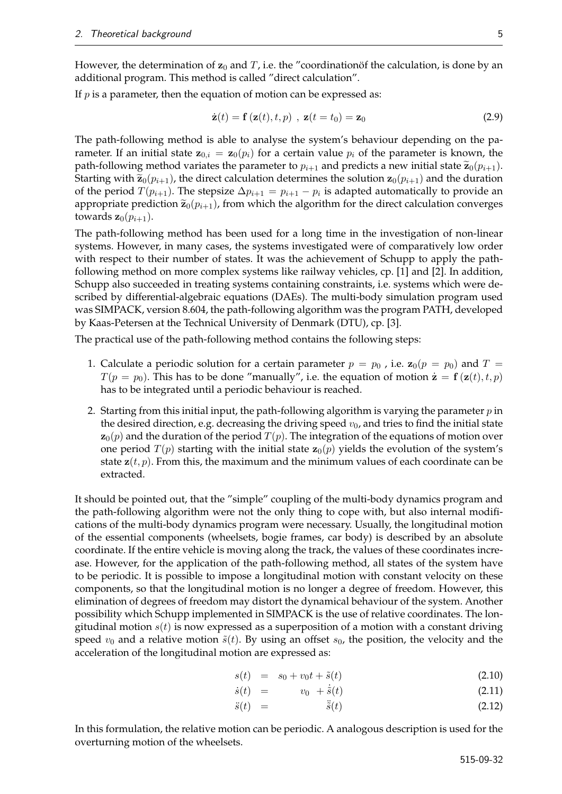However, the determination of  $z_0$  and  $T$ , i.e. the "coordinationof the calculation, is done by an additional program. This method is called "direct calculation".

If  $p$  is a parameter, then the equation of motion can be expressed as:

$$
\dot{\mathbf{z}}(t) = \mathbf{f}\left(\mathbf{z}(t), t, p\right), \ \mathbf{z}(t = t_0) = \mathbf{z}_0 \tag{2.9}
$$

The path-following method is able to analyse the system's behaviour depending on the parameter. If an initial state  $\mathbf{z}_{0,i} = \mathbf{z}_0(p_i)$  for a certain value  $p_i$  of the parameter is known, the path-following method variates the parameter to  $p_{i+1}$  and predicts a new initial state  $\widetilde{\mathbf{z}}_0(p_{i+1})$ . Starting with  $\tilde{\mathbf{z}}_0(p_{i+1})$ , the direct calculation determines the solution  $\mathbf{z}_0(p_{i+1})$  and the duration of the period  $T(p_{i+1})$ . The stepsize  $\Delta p_{i+1} = p_{i+1} - p_i$  is adapted automatically to provide an appropriate prediction  $\tilde{\mathbf{z}}_0(p_{i+1})$ , from which the algorithm for the direct calculation converges towards  $\mathbf{z}_0(p_{i+1})$ .

The path-following method has been used for a long time in the investigation of non-linear systems. However, in many cases, the systems investigated were of comparatively low order with respect to their number of states. It was the achievement of Schupp to apply the pathfollowing method on more complex systems like railway vehicles, cp. [1] and [2]. In addition, Schupp also succeeded in treating systems containing constraints, i.e. systems which were described by differential-algebraic equations (DAEs). The multi-body simulation program used was SIMPACK, version 8.604, the path-following algorithm was the program PATH, developed by Kaas-Petersen at the Technical University of Denmark (DTU), cp. [3].

The practical use of the path-following method contains the following steps:

- 1. Calculate a periodic solution for a certain parameter  $p = p_0$ , i.e.  $\mathbf{z}_0(p = p_0)$  and  $T =$  $T(p = p_0)$ . This has to be done "manually", i.e. the equation of motion  $\dot{z} = f(z(t), t, p)$ has to be integrated until a periodic behaviour is reached.
- 2. Starting from this initial input, the path-following algorithm is varying the parameter  $p$  in the desired direction, e.g. decreasing the driving speed  $v_0$ , and tries to find the initial state  $\mathbf{z}_0(p)$  and the duration of the period  $T(p)$ . The integration of the equations of motion over one period  $T(p)$  starting with the initial state  $z_0(p)$  yields the evolution of the system's state  $z(t, p)$ . From this, the maximum and the minimum values of each coordinate can be extracted.

It should be pointed out, that the "simple" coupling of the multi-body dynamics program and the path-following algorithm were not the only thing to cope with, but also internal modifications of the multi-body dynamics program were necessary. Usually, the longitudinal motion of the essential components (wheelsets, bogie frames, car body) is described by an absolute coordinate. If the entire vehicle is moving along the track, the values of these coordinates increase. However, for the application of the path-following method, all states of the system have to be periodic. It is possible to impose a longitudinal motion with constant velocity on these components, so that the longitudinal motion is no longer a degree of freedom. However, this elimination of degrees of freedom may distort the dynamical behaviour of the system. Another possibility which Schupp implemented in SIMPACK is the use of relative coordinates. The longitudinal motion  $s(t)$  is now expressed as a superposition of a motion with a constant driving speed  $v_0$  and a relative motion  $\tilde{s}(t)$ . By using an offset  $s_0$ , the position, the velocity and the acceleration of the longitudinal motion are expressed as:

$$
s(t) = s_0 + v_0 t + \tilde{s}(t) \tag{2.10}
$$

$$
\dot{s}(t) = v_0 + \dot{\tilde{s}}(t) \tag{2.11}
$$

$$
\ddot{s}(t) = \ddot{\tilde{s}}(t) \tag{2.12}
$$

In this formulation, the relative motion can be periodic. A analogous description is used for the overturning motion of the wheelsets.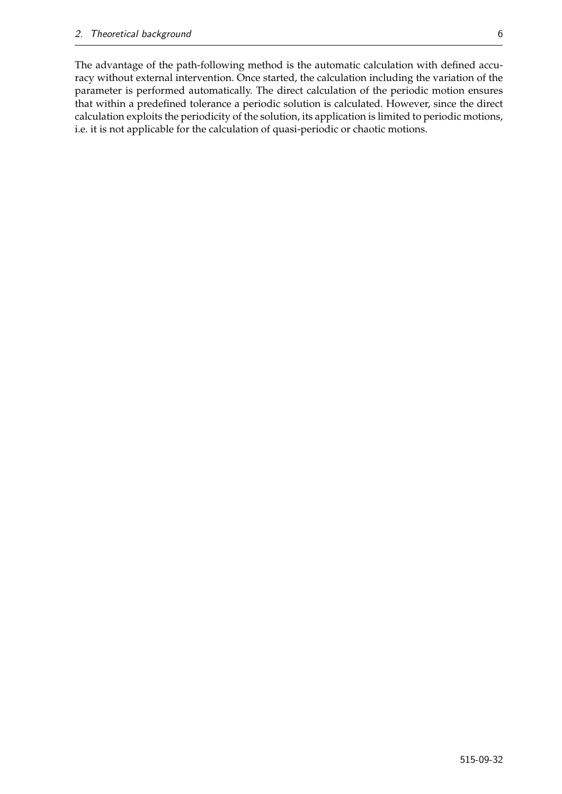The advantage of the path-following method is the automatic calculation with defined accuracy without external intervention. Once started, the calculation including the variation of the parameter is performed automatically. The direct calculation of the periodic motion ensures that within a predefined tolerance a periodic solution is calculated. However, since the direct calculation exploits the periodicity of the solution, its application is limited to periodic motions, i.e. it is not applicable for the calculation of quasi-periodic or chaotic motions.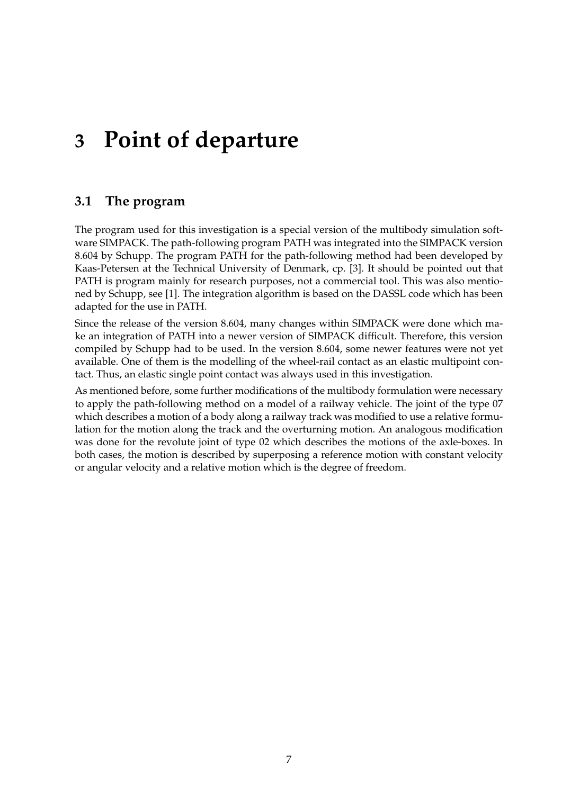# **3 Point of departure**

### **3.1 The program**

The program used for this investigation is a special version of the multibody simulation software SIMPACK. The path-following program PATH was integrated into the SIMPACK version 8.604 by Schupp. The program PATH for the path-following method had been developed by Kaas-Petersen at the Technical University of Denmark, cp. [3]. It should be pointed out that PATH is program mainly for research purposes, not a commercial tool. This was also mentioned by Schupp, see [1]. The integration algorithm is based on the DASSL code which has been adapted for the use in PATH.

Since the release of the version 8.604, many changes within SIMPACK were done which make an integration of PATH into a newer version of SIMPACK difficult. Therefore, this version compiled by Schupp had to be used. In the version 8.604, some newer features were not yet available. One of them is the modelling of the wheel-rail contact as an elastic multipoint contact. Thus, an elastic single point contact was always used in this investigation.

As mentioned before, some further modifications of the multibody formulation were necessary to apply the path-following method on a model of a railway vehicle. The joint of the type 07 which describes a motion of a body along a railway track was modified to use a relative formulation for the motion along the track and the overturning motion. An analogous modification was done for the revolute joint of type 02 which describes the motions of the axle-boxes. In both cases, the motion is described by superposing a reference motion with constant velocity or angular velocity and a relative motion which is the degree of freedom.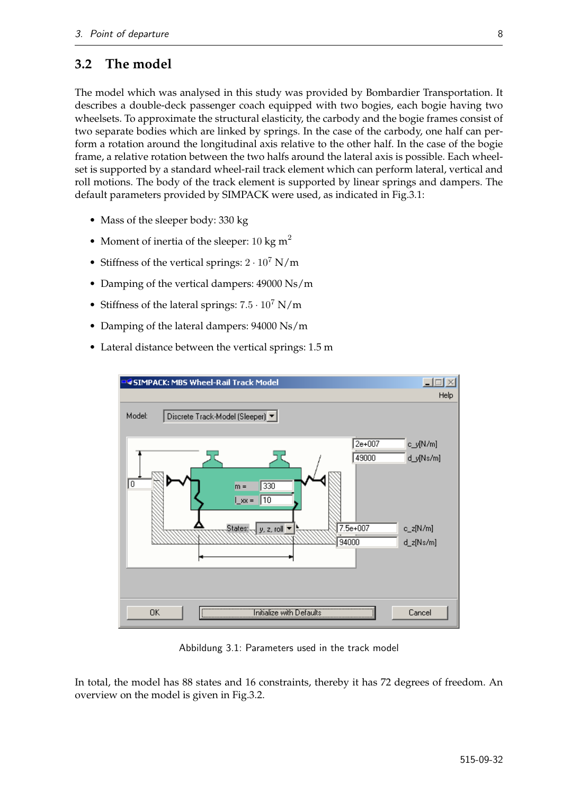#### **3.2 The model**

The model which was analysed in this study was provided by Bombardier Transportation. It describes a double-deck passenger coach equipped with two bogies, each bogie having two wheelsets. To approximate the structural elasticity, the carbody and the bogie frames consist of two separate bodies which are linked by springs. In the case of the carbody, one half can perform a rotation around the longitudinal axis relative to the other half. In the case of the bogie frame, a relative rotation between the two halfs around the lateral axis is possible. Each wheelset is supported by a standard wheel-rail track element which can perform lateral, vertical and roll motions. The body of the track element is supported by linear springs and dampers. The default parameters provided by SIMPACK were used, as indicated in Fig.3.1:

- Mass of the sleeper body: 330 kg
- Moment of inertia of the sleeper: 10 kg  $m^2$
- Stiffness of the vertical springs:  $2 \cdot 10^7$  N/m
- Damping of the vertical dampers: 49000 Ns/m
- Stiffness of the lateral springs:  $7.5 \cdot 10^7$  N/m
- Damping of the lateral dampers: 94000 Ns/m
- Lateral distance between the vertical springs: 1.5 m



Abbildung 3.1: Parameters used in the track model

In total, the model has 88 states and 16 constraints, thereby it has 72 degrees of freedom. An overview on the model is given in Fig.3.2.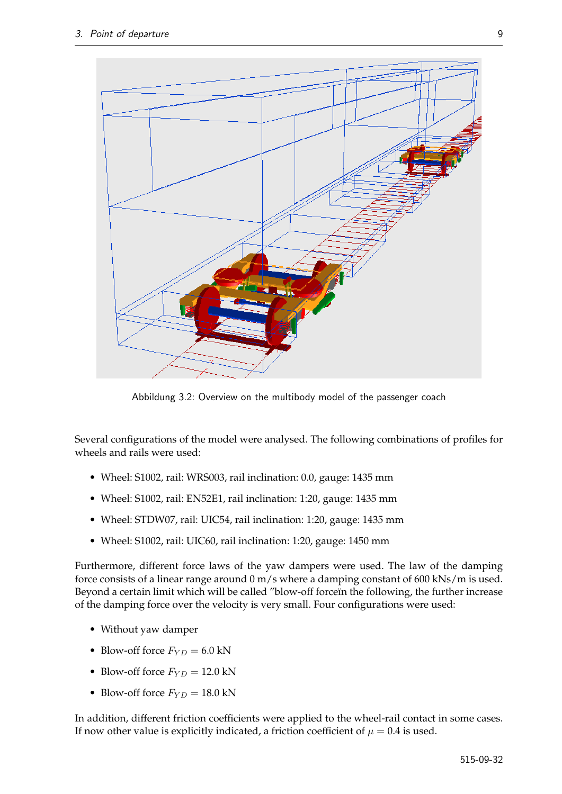

Abbildung 3.2: Overview on the multibody model of the passenger coach

Several configurations of the model were analysed. The following combinations of profiles for wheels and rails were used:

- Wheel: S1002, rail: WRS003, rail inclination: 0.0, gauge: 1435 mm
- Wheel: S1002, rail: EN52E1, rail inclination: 1:20, gauge: 1435 mm
- Wheel: STDW07, rail: UIC54, rail inclination: 1:20, gauge: 1435 mm
- Wheel: S1002, rail: UIC60, rail inclination: 1:20, gauge: 1450 mm

Furthermore, different force laws of the yaw dampers were used. The law of the damping force consists of a linear range around 0 m/s where a damping constant of 600 kNs/m is used. Beyond a certain limit which will be called "blow-off forceïn the following, the further increase of the damping force over the velocity is very small. Four configurations were used:

- Without yaw damper
- Blow-off force  $F_{YD} = 6.0 \text{ kN}$
- Blow-off force  $F_{YD} = 12.0 \text{ kN}$
- Blow-off force  $F_{YD} = 18.0 \text{ kN}$

In addition, different friction coefficients were applied to the wheel-rail contact in some cases. If now other value is explicitly indicated, a friction coefficient of  $\mu = 0.4$  is used.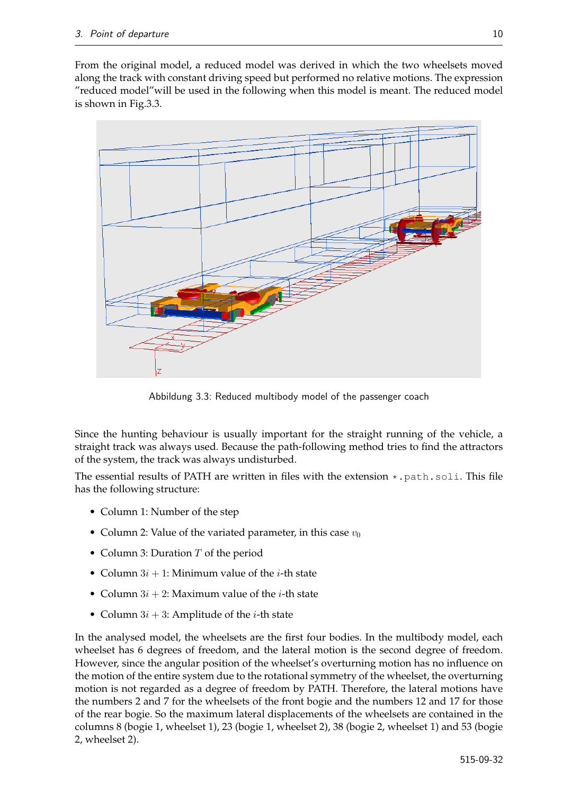From the original model, a reduced model was derived in which the two wheelsets moved along the track with constant driving speed but performed no relative motions. The expression "reduced model"will be used in the following when this model is meant. The reduced model is shown in Fig.3.3.



Abbildung 3.3: Reduced multibody model of the passenger coach

Since the hunting behaviour is usually important for the straight running of the vehicle, a straight track was always used. Because the path-following method tries to find the attractors of the system, the track was always undisturbed.

The essential results of PATH are written in files with the extension  $\star$ . path. soli. This file has the following structure:

- Column 1: Number of the step
- Column 2: Value of the variated parameter, in this case  $v_0$
- Column 3: Duration  $T$  of the period
- Column  $3i + 1$ : Minimum value of the *i*-th state
- Column  $3i + 2$ : Maximum value of the *i*-th state
- Column  $3i + 3$ : Amplitude of the *i*-th state

In the analysed model, the wheelsets are the first four bodies. In the multibody model, each wheelset has 6 degrees of freedom, and the lateral motion is the second degree of freedom. However, since the angular position of the wheelset's overturning motion has no influence on the motion of the entire system due to the rotational symmetry of the wheelset, the overturning motion is not regarded as a degree of freedom by PATH. Therefore, the lateral motions have the numbers 2 and 7 for the wheelsets of the front bogie and the numbers 12 and 17 for those of the rear bogie. So the maximum lateral displacements of the wheelsets are contained in the columns 8 (bogie 1, wheelset 1), 23 (bogie 1, wheelset 2), 38 (bogie 2, wheelset 1) and 53 (bogie 2, wheelset 2).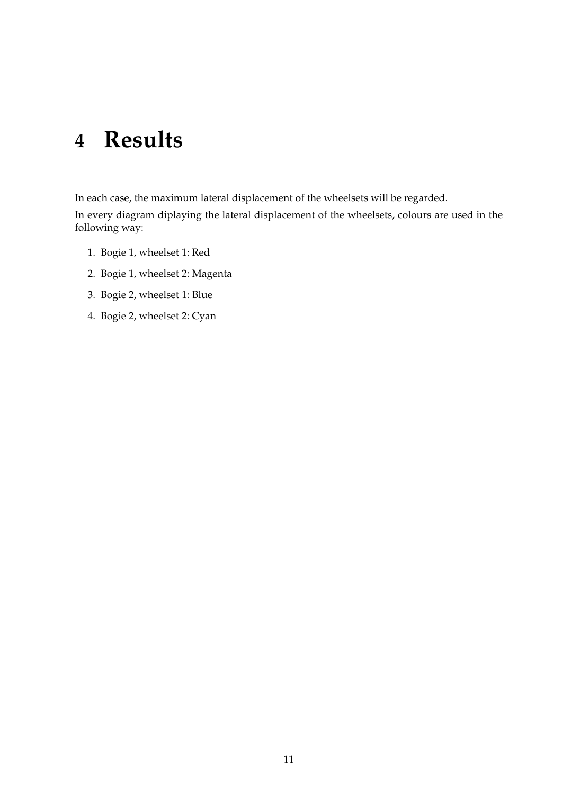## **4 Results**

In each case, the maximum lateral displacement of the wheelsets will be regarded.

In every diagram diplaying the lateral displacement of the wheelsets, colours are used in the following way:

- 1. Bogie 1, wheelset 1: Red
- 2. Bogie 1, wheelset 2: Magenta
- 3. Bogie 2, wheelset 1: Blue
- 4. Bogie 2, wheelset 2: Cyan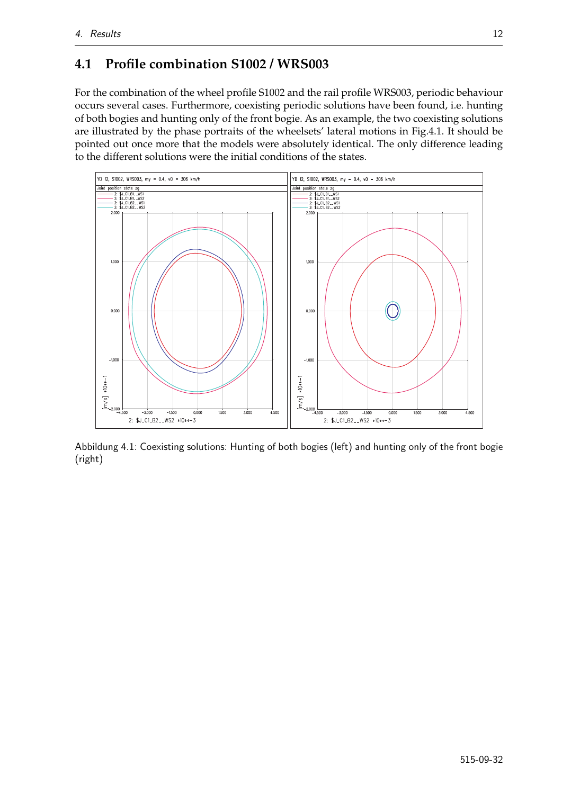### **4.1 Profile combination S1002 / WRS003**

For the combination of the wheel profile S1002 and the rail profile WRS003, periodic behaviour occurs several cases. Furthermore, coexisting periodic solutions have been found, i.e. hunting of both bogies and hunting only of the front bogie. As an example, the two coexisting solutions are illustrated by the phase portraits of the wheelsets' lateral motions in Fig.4.1. It should be pointed out once more that the models were absolutely identical. The only difference leading to the different solutions were the initial conditions of the states.



Abbildung 4.1: Coexisting solutions: Hunting of both bogies (left) and hunting only of the front bogie (right)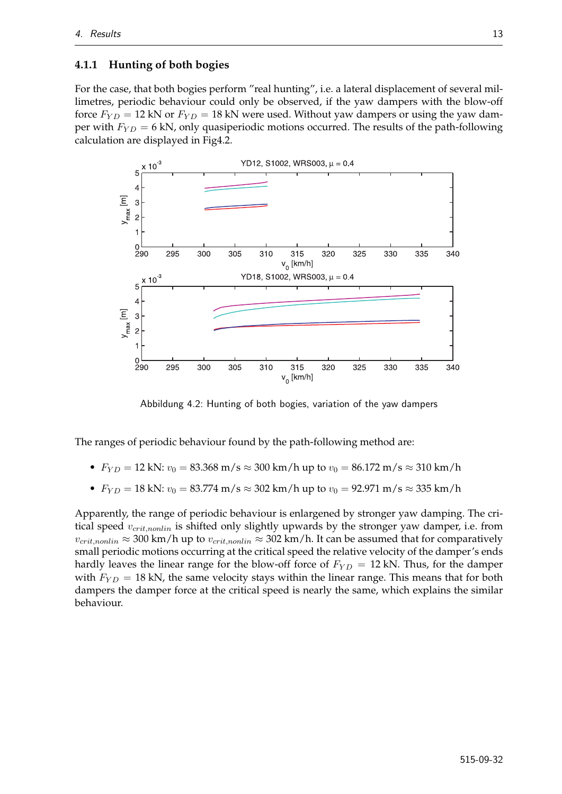#### **4.1.1 Hunting of both bogies**

For the case, that both bogies perform "real hunting", i.e. a lateral displacement of several millimetres, periodic behaviour could only be observed, if the yaw dampers with the blow-off force  $F_{YD} = 12$  kN or  $F_{YD} = 18$  kN were used. Without yaw dampers or using the yaw damper with  $F_{YD} = 6$  kN, only quasiperiodic motions occurred. The results of the path-following calculation are displayed in Fig4.2.



Abbildung 4.2: Hunting of both bogies, variation of the yaw dampers

The ranges of periodic behaviour found by the path-following method are:

- $F_{YD} = 12 \text{ kN: } v_0 = 83.368 \text{ m/s} \approx 300 \text{ km/h}$  up to  $v_0 = 86.172 \text{ m/s} \approx 310 \text{ km/h}$
- $F_{YD} = 18$  kN:  $v_0 = 83.774$  m/s  $\approx 302$  km/h up to  $v_0 = 92.971$  m/s  $\approx 335$  km/h

Apparently, the range of periodic behaviour is enlargened by stronger yaw damping. The critical speed  $v_{crit,nonlin}$  is shifted only slightly upwards by the stronger yaw damper, i.e. from  $v_{crit,nonlin} \approx 300 \text{ km/h}$  up to  $v_{crit,nonlin} \approx 302 \text{ km/h}$ . It can be assumed that for comparatively small periodic motions occurring at the critical speed the relative velocity of the damper's ends hardly leaves the linear range for the blow-off force of  $F_{YD} = 12$  kN. Thus, for the damper with  $F_{YD} = 18$  kN, the same velocity stays within the linear range. This means that for both dampers the damper force at the critical speed is nearly the same, which explains the similar behaviour.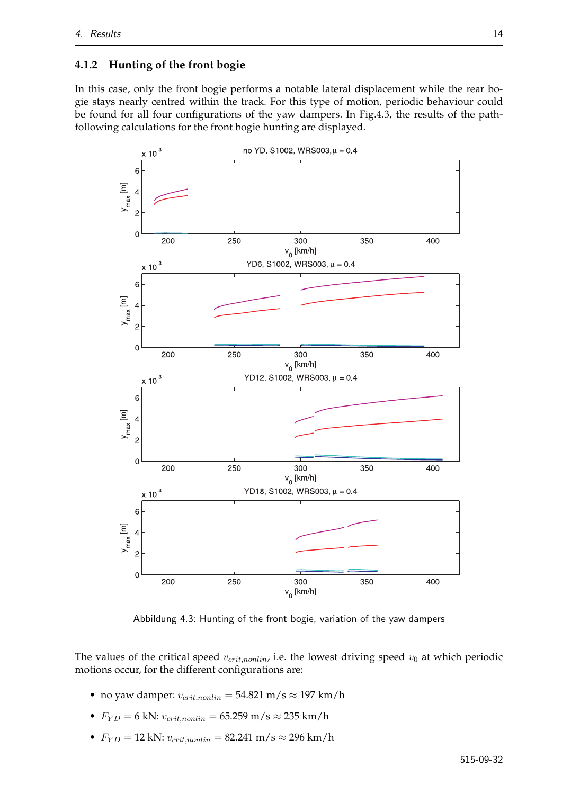#### **4.1.2 Hunting of the front bogie**

In this case, only the front bogie performs a notable lateral displacement while the rear bogie stays nearly centred within the track. For this type of motion, periodic behaviour could be found for all four configurations of the yaw dampers. In Fig.4.3, the results of the pathfollowing calculations for the front bogie hunting are displayed.



Abbildung 4.3: Hunting of the front bogie, variation of the yaw dampers

The values of the critical speed  $v_{crit,nonlin}$ , i.e. the lowest driving speed  $v_0$  at which periodic motions occur, for the different configurations are:

- no yaw damper:  $v_{crit,nonlin} = 54.821 \text{ m/s} \approx 197 \text{ km/h}$
- $F_{YD} = 6$  kN:  $v_{crit,nonlin} = 65.259$  m/s  $\approx 235$  km/h
- $F_{YD} = 12$  kN:  $v_{crit,nonlin} = 82.241$  m/s  $\approx 296$  km/h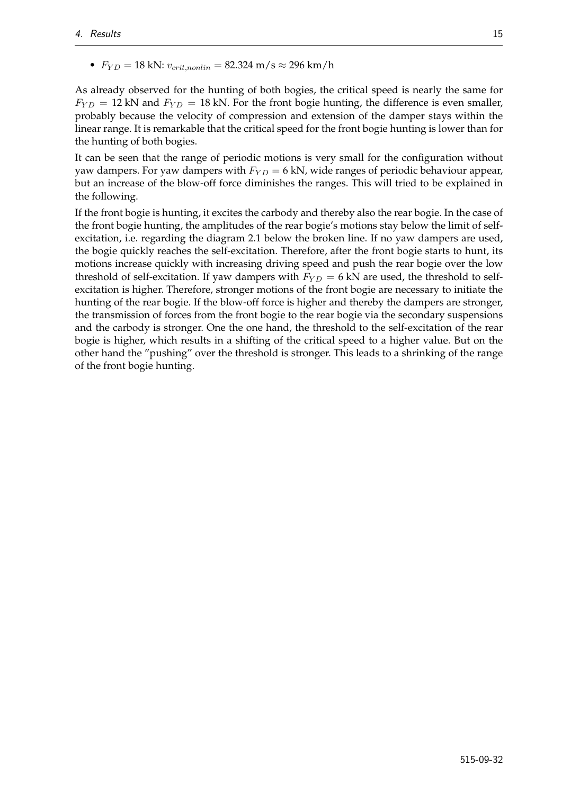•  $F_{YD} = 18$  kN:  $v_{crit,nonlin} = 82.324$  m/s  $\approx 296$  km/h

As already observed for the hunting of both bogies, the critical speed is nearly the same for  $F_{YD} = 12$  kN and  $F_{YD} = 18$  kN. For the front bogie hunting, the difference is even smaller, probably because the velocity of compression and extension of the damper stays within the linear range. It is remarkable that the critical speed for the front bogie hunting is lower than for the hunting of both bogies.

It can be seen that the range of periodic motions is very small for the configuration without yaw dampers. For yaw dampers with  $F_{YD} = 6$  kN, wide ranges of periodic behaviour appear, but an increase of the blow-off force diminishes the ranges. This will tried to be explained in the following.

If the front bogie is hunting, it excites the carbody and thereby also the rear bogie. In the case of the front bogie hunting, the amplitudes of the rear bogie's motions stay below the limit of selfexcitation, i.e. regarding the diagram 2.1 below the broken line. If no yaw dampers are used, the bogie quickly reaches the self-excitation. Therefore, after the front bogie starts to hunt, its motions increase quickly with increasing driving speed and push the rear bogie over the low threshold of self-excitation. If yaw dampers with  $F_{YD} = 6$  kN are used, the threshold to selfexcitation is higher. Therefore, stronger motions of the front bogie are necessary to initiate the hunting of the rear bogie. If the blow-off force is higher and thereby the dampers are stronger, the transmission of forces from the front bogie to the rear bogie via the secondary suspensions and the carbody is stronger. One the one hand, the threshold to the self-excitation of the rear bogie is higher, which results in a shifting of the critical speed to a higher value. But on the other hand the "pushing" over the threshold is stronger. This leads to a shrinking of the range of the front bogie hunting.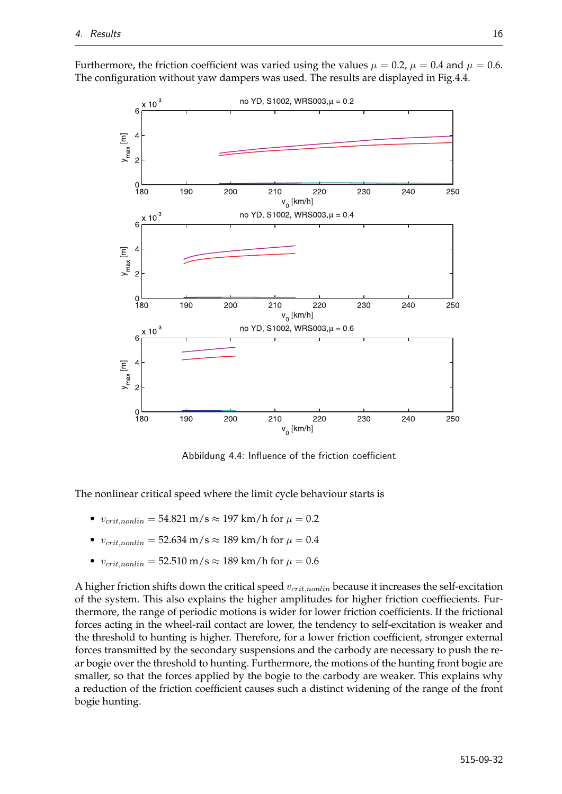

Furthermore, the friction coefficient was varied using the values  $\mu = 0.2$ ,  $\mu = 0.4$  and  $\mu = 0.6$ . The configuration without yaw dampers was used. The results are displayed in Fig.4.4.

Abbildung 4.4: Influence of the friction coefficient

The nonlinear critical speed where the limit cycle behaviour starts is

- $v_{crit,nonlin} = 54.821 \text{ m/s} \approx 197 \text{ km/h}$  for  $\mu = 0.2$
- $v_{crit,nonlin} = 52.634 \text{ m/s} \approx 189 \text{ km/h} \text{ for } \mu = 0.4$
- $v_{crit,nonlin} = 52.510 \text{ m/s} \approx 189 \text{ km/h}$  for  $\mu = 0.6$

A higher friction shifts down the critical speed  $v_{crit,nonlin}$  because it increases the self-excitation of the system. This also explains the higher amplitudes for higher friction coeffiecients. Furthermore, the range of periodic motions is wider for lower friction coefficients. If the frictional forces acting in the wheel-rail contact are lower, the tendency to self-excitation is weaker and the threshold to hunting is higher. Therefore, for a lower friction coefficient, stronger external forces transmitted by the secondary suspensions and the carbody are necessary to push the rear bogie over the threshold to hunting. Furthermore, the motions of the hunting front bogie are smaller, so that the forces applied by the bogie to the carbody are weaker. This explains why a reduction of the friction coefficient causes such a distinct widening of the range of the front bogie hunting.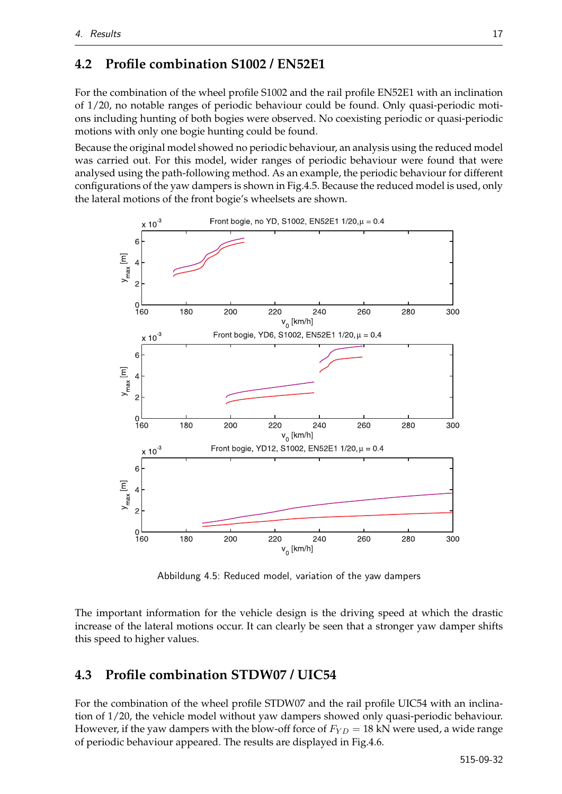### **4.2 Profile combination S1002 / EN52E1**

For the combination of the wheel profile S1002 and the rail profile EN52E1 with an inclination of 1/20, no notable ranges of periodic behaviour could be found. Only quasi-periodic motions including hunting of both bogies were observed. No coexisting periodic or quasi-periodic motions with only one bogie hunting could be found.

Because the original model showed no periodic behaviour, an analysis using the reduced model was carried out. For this model, wider ranges of periodic behaviour were found that were analysed using the path-following method. As an example, the periodic behaviour for different configurations of the yaw dampers is shown in Fig.4.5. Because the reduced model is used, only the lateral motions of the front bogie's wheelsets are shown.



Abbildung 4.5: Reduced model, variation of the yaw dampers

The important information for the vehicle design is the driving speed at which the drastic increase of the lateral motions occur. It can clearly be seen that a stronger yaw damper shifts this speed to higher values.

### **4.3 Profile combination STDW07 / UIC54**

For the combination of the wheel profile STDW07 and the rail profile UIC54 with an inclination of 1/20, the vehicle model without yaw dampers showed only quasi-periodic behaviour. However, if the yaw dampers with the blow-off force of  $F_{YD} = 18$  kN were used, a wide range of periodic behaviour appeared. The results are displayed in Fig.4.6.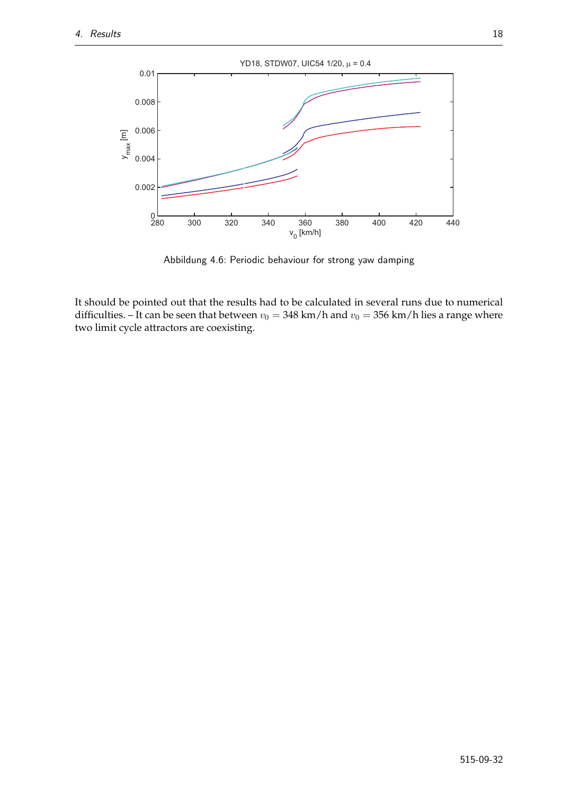

Abbildung 4.6: Periodic behaviour for strong yaw damping

It should be pointed out that the results had to be calculated in several runs due to numerical difficulties. – It can be seen that between  $v_0 = 348$  km/h and  $v_0 = 356$  km/h lies a range where two limit cycle attractors are coexisting.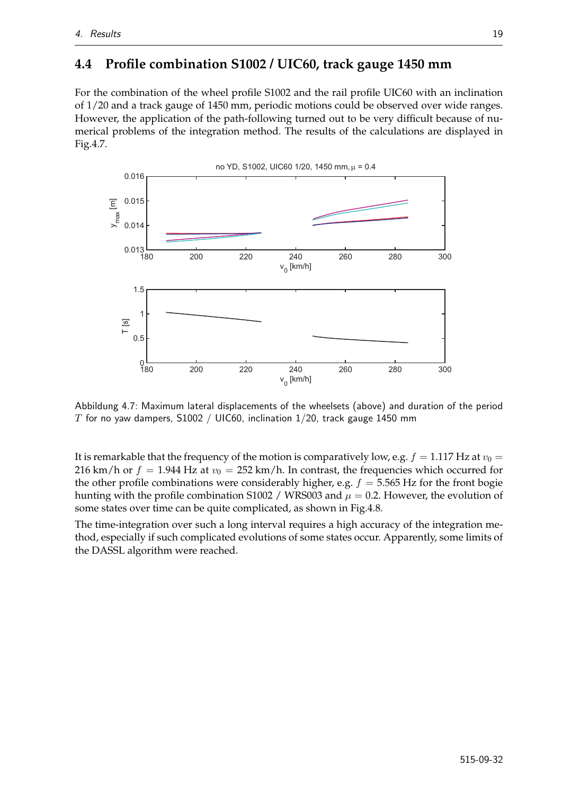### **4.4 Profile combination S1002 / UIC60, track gauge 1450 mm**

For the combination of the wheel profile S1002 and the rail profile UIC60 with an inclination of 1/20 and a track gauge of 1450 mm, periodic motions could be observed over wide ranges. However, the application of the path-following turned out to be very difficult because of numerical problems of the integration method. The results of the calculations are displayed in Fig.4.7.



Abbildung 4.7: Maximum lateral displacements of the wheelsets (above) and duration of the period T for no yaw dampers, S1002 / UIC60, inclination  $1/20$ , track gauge 1450 mm

It is remarkable that the frequency of the motion is comparatively low, e.g.  $f = 1.117$  Hz at  $v_0 =$ 216 km/h or  $f = 1.944$  Hz at  $v_0 = 252$  km/h. In contrast, the frequencies which occurred for the other profile combinations were considerably higher, e.g.  $f = 5.565$  Hz for the front bogie hunting with the profile combination S1002 / WRS003 and  $\mu = 0.2$ . However, the evolution of some states over time can be quite complicated, as shown in Fig.4.8.

The time-integration over such a long interval requires a high accuracy of the integration method, especially if such complicated evolutions of some states occur. Apparently, some limits of the DASSL algorithm were reached.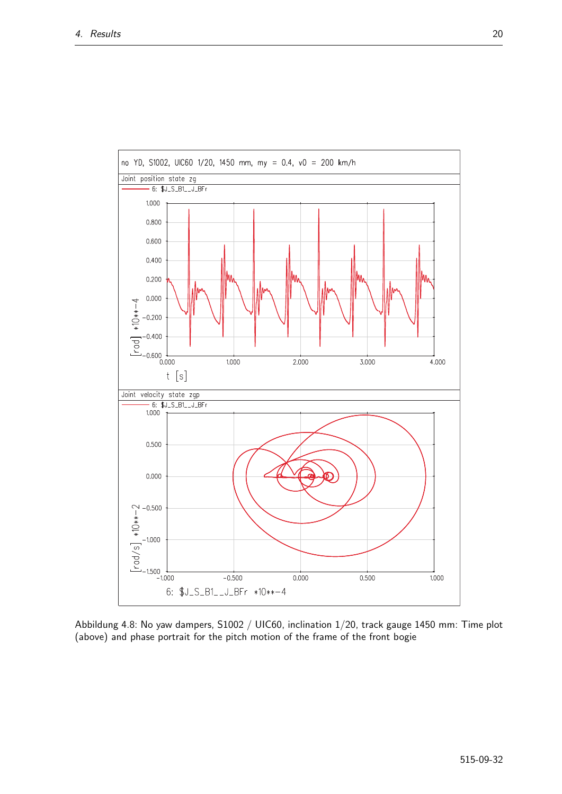

Abbildung 4.8: No yaw dampers, S1002 / UIC60, inclination 1/20, track gauge 1450 mm: Time plot (above) and phase portrait for the pitch motion of the frame of the front bogie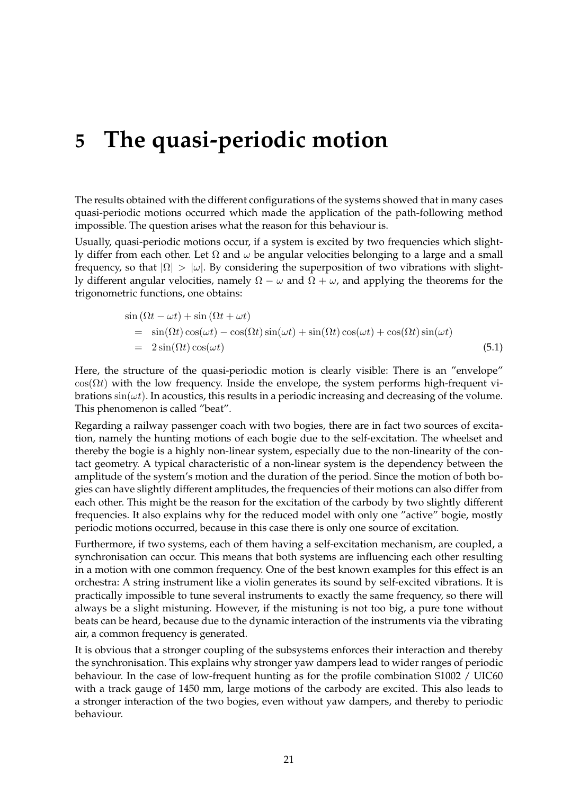### **5 The quasi-periodic motion**

The results obtained with the different configurations of the systems showed that in many cases quasi-periodic motions occurred which made the application of the path-following method impossible. The question arises what the reason for this behaviour is.

Usually, quasi-periodic motions occur, if a system is excited by two frequencies which slightly differ from each other. Let  $\Omega$  and  $\omega$  be angular velocities belonging to a large and a small frequency, so that  $|\Omega| > |\omega|$ . By considering the superposition of two vibrations with slightly different angular velocities, namely  $\Omega - \omega$  and  $\Omega + \omega$ , and applying the theorems for the trigonometric functions, one obtains:

$$
\sin(\Omega t - \omega t) + \sin(\Omega t + \omega t)
$$
\n
$$
= \sin(\Omega t)\cos(\omega t) - \cos(\Omega t)\sin(\omega t) + \sin(\Omega t)\cos(\omega t) + \cos(\Omega t)\sin(\omega t)
$$
\n
$$
= 2\sin(\Omega t)\cos(\omega t) \tag{5.1}
$$

Here, the structure of the quasi-periodic motion is clearly visible: There is an "envelope"  $cos(\Omega t)$  with the low frequency. Inside the envelope, the system performs high-frequent vibrations  $sin(\omega t)$ . In acoustics, this results in a periodic increasing and decreasing of the volume. This phenomenon is called "beat".

Regarding a railway passenger coach with two bogies, there are in fact two sources of excitation, namely the hunting motions of each bogie due to the self-excitation. The wheelset and thereby the bogie is a highly non-linear system, especially due to the non-linearity of the contact geometry. A typical characteristic of a non-linear system is the dependency between the amplitude of the system's motion and the duration of the period. Since the motion of both bogies can have slightly different amplitudes, the frequencies of their motions can also differ from each other. This might be the reason for the excitation of the carbody by two slightly different frequencies. It also explains why for the reduced model with only one "active" bogie, mostly periodic motions occurred, because in this case there is only one source of excitation.

Furthermore, if two systems, each of them having a self-excitation mechanism, are coupled, a synchronisation can occur. This means that both systems are influencing each other resulting in a motion with one common frequency. One of the best known examples for this effect is an orchestra: A string instrument like a violin generates its sound by self-excited vibrations. It is practically impossible to tune several instruments to exactly the same frequency, so there will always be a slight mistuning. However, if the mistuning is not too big, a pure tone without beats can be heard, because due to the dynamic interaction of the instruments via the vibrating air, a common frequency is generated.

It is obvious that a stronger coupling of the subsystems enforces their interaction and thereby the synchronisation. This explains why stronger yaw dampers lead to wider ranges of periodic behaviour. In the case of low-frequent hunting as for the profile combination S1002 / UIC60 with a track gauge of 1450 mm, large motions of the carbody are excited. This also leads to a stronger interaction of the two bogies, even without yaw dampers, and thereby to periodic behaviour.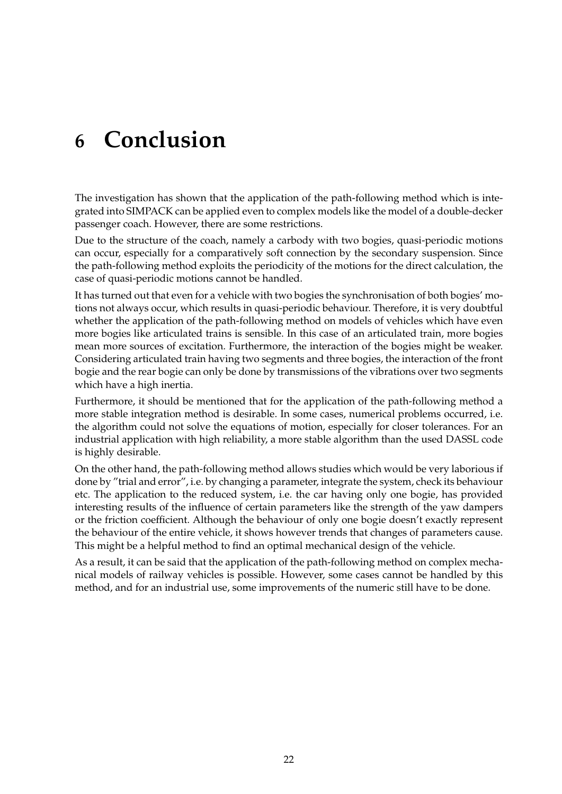# **6 Conclusion**

The investigation has shown that the application of the path-following method which is integrated into SIMPACK can be applied even to complex models like the model of a double-decker passenger coach. However, there are some restrictions.

Due to the structure of the coach, namely a carbody with two bogies, quasi-periodic motions can occur, especially for a comparatively soft connection by the secondary suspension. Since the path-following method exploits the periodicity of the motions for the direct calculation, the case of quasi-periodic motions cannot be handled.

It has turned out that even for a vehicle with two bogies the synchronisation of both bogies' motions not always occur, which results in quasi-periodic behaviour. Therefore, it is very doubtful whether the application of the path-following method on models of vehicles which have even more bogies like articulated trains is sensible. In this case of an articulated train, more bogies mean more sources of excitation. Furthermore, the interaction of the bogies might be weaker. Considering articulated train having two segments and three bogies, the interaction of the front bogie and the rear bogie can only be done by transmissions of the vibrations over two segments which have a high inertia.

Furthermore, it should be mentioned that for the application of the path-following method a more stable integration method is desirable. In some cases, numerical problems occurred, i.e. the algorithm could not solve the equations of motion, especially for closer tolerances. For an industrial application with high reliability, a more stable algorithm than the used DASSL code is highly desirable.

On the other hand, the path-following method allows studies which would be very laborious if done by "trial and error", i.e. by changing a parameter, integrate the system, check its behaviour etc. The application to the reduced system, i.e. the car having only one bogie, has provided interesting results of the influence of certain parameters like the strength of the yaw dampers or the friction coefficient. Although the behaviour of only one bogie doesn't exactly represent the behaviour of the entire vehicle, it shows however trends that changes of parameters cause. This might be a helpful method to find an optimal mechanical design of the vehicle.

As a result, it can be said that the application of the path-following method on complex mechanical models of railway vehicles is possible. However, some cases cannot be handled by this method, and for an industrial use, some improvements of the numeric still have to be done.